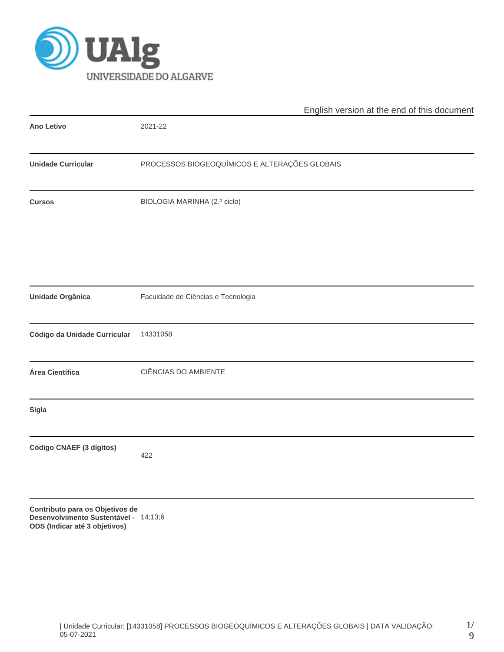

|                              | English version at the end of this document   |
|------------------------------|-----------------------------------------------|
| Ano Letivo                   | 2021-22                                       |
| <b>Unidade Curricular</b>    | PROCESSOS BIOGEOQUÍMICOS E ALTERAÇÕES GLOBAIS |
| <b>Cursos</b>                | BIOLOGIA MARINHA (2.º ciclo)                  |
|                              |                                               |
| <b>Unidade Orgânica</b>      | Faculdade de Ciências e Tecnologia            |
| Código da Unidade Curricular | 14331058                                      |
| Área Científica              | CIÊNCIAS DO AMBIENTE                          |
| Sigla                        |                                               |
| Código CNAEF (3 dígitos)     | 422                                           |
|                              |                                               |

**Contributo para os Objetivos de Desenvolvimento Sustentável - ODS (Indicar até 3 objetivos)** 14;13;6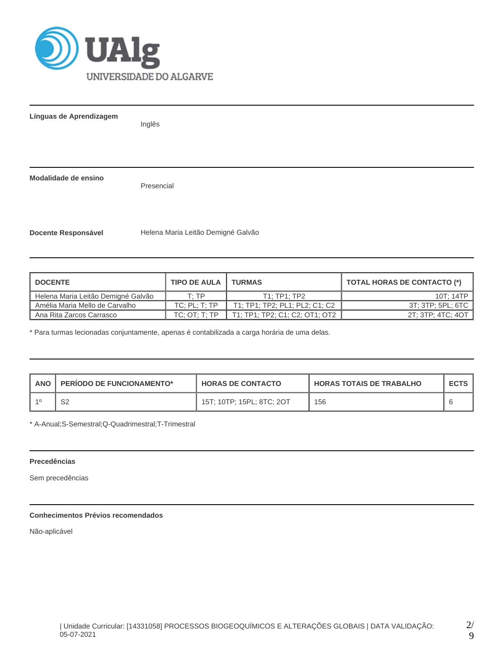

**Línguas de Aprendizagem**

Inglês

**Modalidade de ensino**

Presencial

**Docente Responsável** Helena Maria Leitão Demigné Galvão

| <b>DOCENTE</b>                     | <b>TIPO DE AULA</b>      | <b>TURMAS</b>                  | <b>TOTAL HORAS DE CONTACTO (*)</b> |
|------------------------------------|--------------------------|--------------------------------|------------------------------------|
| Helena Maria Leitão Demigné Galvão | T:TP                     | T1:TP1:TP2                     | 10T: 14TP                          |
| Amélia Maria Mello de Carvalho     | $TC$ ; $PL$ ; $T$ ; $TP$ | T1: TP1: TP2: PL1: PL2: C1: C2 | 3T: 3TP: 5PL: 6TC                  |
| Ana Rita Zarcos Carrasco           | TC: OT: T: TP            | T1; TP1; TP2; C1; C2; OT1; OT2 | 2T; 3TP; 4TC; 4OT                  |

\* Para turmas lecionadas conjuntamente, apenas é contabilizada a carga horária de uma delas.

| <b>ANO</b> | $\mathbb{P}$ PERIODO DE FUNCIONAMENTO* | <b>HORAS DE CONTACTO</b>  | <b>HORAS TOTAIS DE TRABALHO</b> | <b>ECTS</b> |
|------------|----------------------------------------|---------------------------|---------------------------------|-------------|
|            | ےت                                     | 15T; 10TP; 15PL; 8TC; 2OT | 156                             |             |

\* A-Anual;S-Semestral;Q-Quadrimestral;T-Trimestral

### **Precedências**

Sem precedências

# **Conhecimentos Prévios recomendados**

Não-aplicável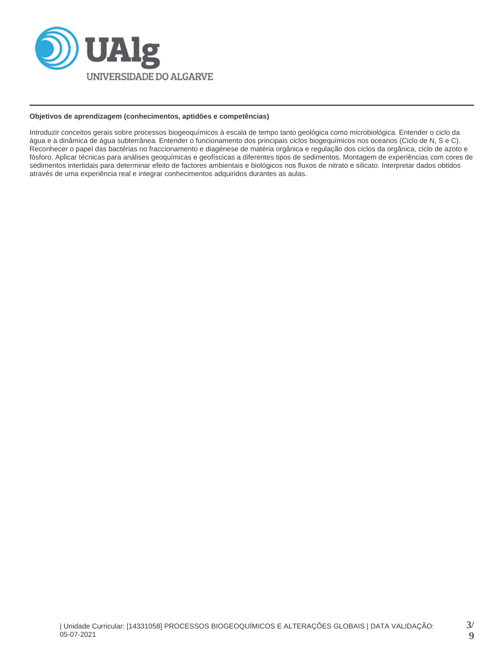

### **Objetivos de aprendizagem (conhecimentos, aptidões e competências)**

Introduzir conceitos gerais sobre processos biogeoquímicos à escala de tempo tanto geológica como microbiológica. Entender o ciclo da água e a dinâmica de água subterrânea. Entender o funcionamento dos principais ciclos biogequímicos nos oceanos (Ciclo de N, S e C). Reconhecer o papel das bactérias no fraccionamento e diagénese de matéria orgânica e regulação dos ciclos da orgânica, ciclo de azoto e fósforo. Aplicar técnicas para análises geoquímicas e geofíscicas a diferentes tipos de sedimentos. Montagem de experiências com cores de sedimentos intertidais para determinar efeito de factores ambientais e biológicos nos fluxos de nitrato e silicato. Interpretar dados obtidos através de uma experiência real e integrar conhecimentos adquiridos durantes as aulas.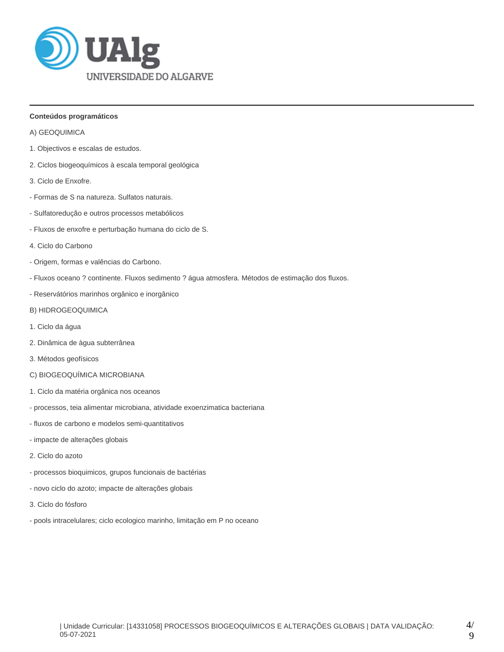

### **Conteúdos programáticos**

- A) GEOQUIMICA
- 1. Objectivos e escalas de estudos.
- 2. Ciclos biogeoquímicos à escala temporal geológica
- 3. Ciclo de Enxofre.
- Formas de S na natureza. Sulfatos naturais.
- Sulfatoredução e outros processos metabólicos
- Fluxos de enxofre e perturbação humana do ciclo de S.
- 4. Ciclo do Carbono
- Origem, formas e valências do Carbono.
- Fluxos oceano ? continente. Fluxos sedimento ? água atmosfera. Métodos de estimação dos fluxos.
- Reservátórios marinhos orgânico e inorgânico
- B) HIDROGEOQUIMICA
- 1. Ciclo da água
- 2. Dinâmica de àgua subterrânea
- 3. Métodos geofísicos
- C) BIOGEOQUÍMICA MICROBIANA
- 1. Ciclo da matéria orgânica nos oceanos
- processos, teia alimentar microbiana, atividade exoenzimatica bacteriana
- fluxos de carbono e modelos semi-quantitativos
- impacte de alterações globais
- 2. Ciclo do azoto
- processos bioquimicos, grupos funcionais de bactérias
- novo ciclo do azoto; impacte de alterações globais
- 3. Ciclo do fósforo
- pools intracelulares; ciclo ecologico marinho, limitação em P no oceano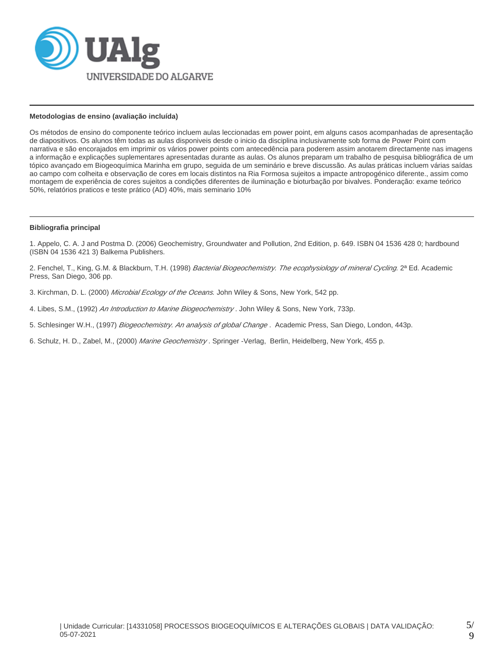

#### **Metodologias de ensino (avaliação incluída)**

Os métodos de ensino do componente teórico incluem aulas leccionadas em power point, em alguns casos acompanhadas de apresentação de diapositivos. Os alunos têm todas as aulas disponiveis desde o inicio da disciplina inclusivamente sob forma de Power Point com narrativa e são encorajados em imprimir os vários power points com antecedência para poderem assim anotarem directamente nas imagens a informação e explicações suplementares apresentadas durante as aulas. Os alunos preparam um trabalho de pesquisa bibliográfica de um tópico avançado em Biogeoquímica Marinha em grupo, seguida de um seminário e breve discussão. As aulas práticas incluem várias saídas ao campo com colheita e observação de cores em locais distintos na Ria Formosa sujeitos a impacte antropogénico diferente., assim como montagem de experiência de cores sujeitos a condições diferentes de iluminação e bioturbação por bivalves. Ponderação: exame teórico 50%, relatórios praticos e teste prático (AD) 40%, mais seminario 10%

#### **Bibliografia principal**

1. Appelo, C. A. J and Postma D. (2006) Geochemistry, Groundwater and Pollution, 2nd Edition, p. 649. ISBN 04 1536 428 0; hardbound (ISBN 04 1536 421 3) Balkema Publishers.

2. Fenchel, T., King, G.M. & Blackburn, T.H. (1998) Bacterial Biogeochemistry. The ecophysiology of mineral Cycling. 2ª Ed. Academic Press, San Diego, 306 pp.

- 3. Kirchman, D. L. (2000) Microbial Ecology of the Oceans. John Wiley & Sons, New York, 542 pp.
- 4. Libes, S.M., (1992) An Introduction to Marine Biogeochemistry . John Wiley & Sons, New York, 733p.
- 5. Schlesinger W.H., (1997) Biogeochemistry. An analysis of global Change. Academic Press, San Diego, London, 443p.
- 6. Schulz, H. D., Zabel, M., (2000) Marine Geochemistry. Springer -Verlag, Berlin, Heidelberg, New York, 455 p.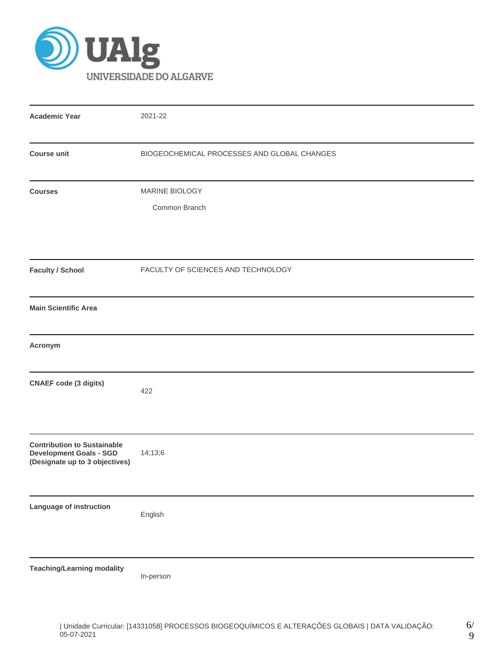

| <b>Academic Year</b>                                                                                   | 2021-22                                     |
|--------------------------------------------------------------------------------------------------------|---------------------------------------------|
| <b>Course unit</b>                                                                                     | BIOGEOCHEMICAL PROCESSES AND GLOBAL CHANGES |
| <b>Courses</b>                                                                                         | MARINE BIOLOGY<br>Common Branch             |
| <b>Faculty / School</b>                                                                                | FACULTY OF SCIENCES AND TECHNOLOGY          |
| <b>Main Scientific Area</b>                                                                            |                                             |
| Acronym                                                                                                |                                             |
| <b>CNAEF code (3 digits)</b>                                                                           | 422                                         |
| <b>Contribution to Sustainable</b><br><b>Development Goals - SGD</b><br>(Designate up to 3 objectives) | 14;13;6                                     |
| Language of instruction                                                                                | English                                     |
| <b>Teaching/Learning modality</b>                                                                      | In-person                                   |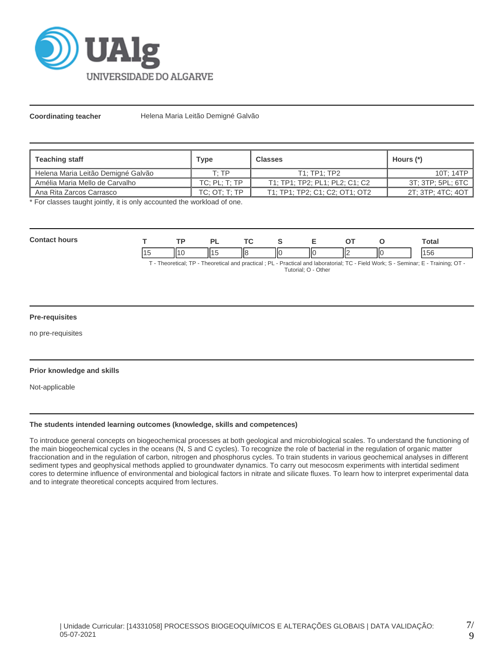

**Coordinating teacher** Helena Maria Leitão Demigné Galvão

| <b>Teaching staff</b>              | <b>Type</b>   | <b>Classes</b>                 | Hours (*)         |
|------------------------------------|---------------|--------------------------------|-------------------|
| Helena Maria Leitão Demigné Galvão | T· TP         | T1:TP1:TP2                     | 10T; 14TP         |
| l Amélia Maria Mello de Carvalho   | TC: PL: T: TP | T1; TP1; TP2; PL1; PL2; C1: C2 | 3T; 3TP; 5PL; 6TC |
| Ana Rita Zarcos Carrasco           | TC: OT: T: TP | T1; TP1; TP2; C1; C2; OT1; OT2 | 2T; 3TP; 4TC; 4OT |

\* For classes taught jointly, it is only accounted the workload of one.

| <b>Contact hours</b> | ТP |  |   |                     |  | Total                                                                                                                              |
|----------------------|----|--|---|---------------------|--|------------------------------------------------------------------------------------------------------------------------------------|
|                      |    |  | Ш |                     |  | 156                                                                                                                                |
|                      |    |  |   | Tutorial: O - Other |  | T - Theoretical; TP - Theoretical and practical; PL - Practical and laboratorial; TC - Field Work; S - Seminar; E - Training; OT - |

#### **Pre-requisites**

no pre-requisites

#### **Prior knowledge and skills**

Not-applicable

### **The students intended learning outcomes (knowledge, skills and competences)**

To introduce general concepts on biogeochemical processes at both geological and microbiological scales. To understand the functioning of the main biogeochemical cycles in the oceans (N, S and C cycles). To recognize the role of bacterial in the regulation of organic matter fraccionation and in the regulation of carbon, nitrogen and phosphorus cycles. To train students in various geochemical analyses in different sediment types and geophysical methods applied to groundwater dynamics. To carry out mesocosm experiments with intertidal sediment cores to determine influence of environmental and biological factors in nitrate and silicate fluxes. To learn how to interpret experimental data and to integrate theoretical concepts acquired from lectures.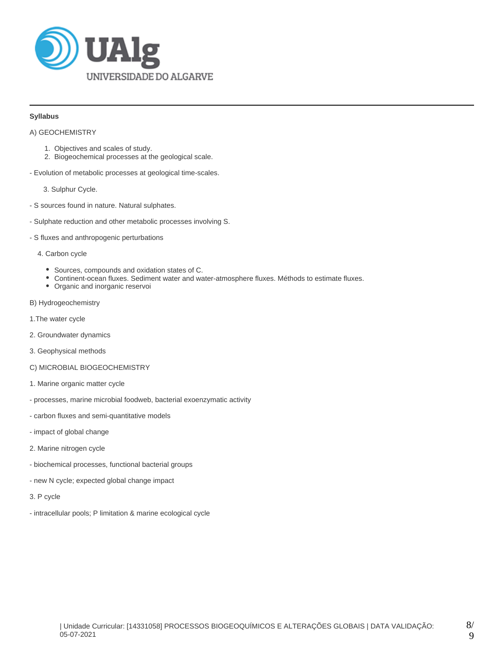

### **Syllabus**

A) GEOCHEMISTRY

- 1. Objectives and scales of study.
- 2. Biogeochemical processes at the geological scale.
- Evolution of metabolic processes at geological time-scales.

3. Sulphur Cycle.

- S sources found in nature. Natural sulphates.
- Sulphate reduction and other metabolic processes involving S.
- S fluxes and anthropogenic perturbations

#### 4. Carbon cycle

- Sources, compounds and oxidation states of C.
- Continent-ocean fluxes. Sediment water and water-atmosphere fluxes. Méthods to estimate fluxes.
- Organic and inorganic reservoi
- B) Hydrogeochemistry
- 1.The water cycle
- 2. Groundwater dynamics
- 3. Geophysical methods
- C) MICROBIAL BIOGEOCHEMISTRY
- 1. Marine organic matter cycle
- processes, marine microbial foodweb, bacterial exoenzymatic activity
- carbon fluxes and semi-quantitative models
- impact of global change
- 2. Marine nitrogen cycle
- biochemical processes, functional bacterial groups
- new N cycle; expected global change impact
- 3. P cycle
- intracellular pools; P limitation & marine ecological cycle